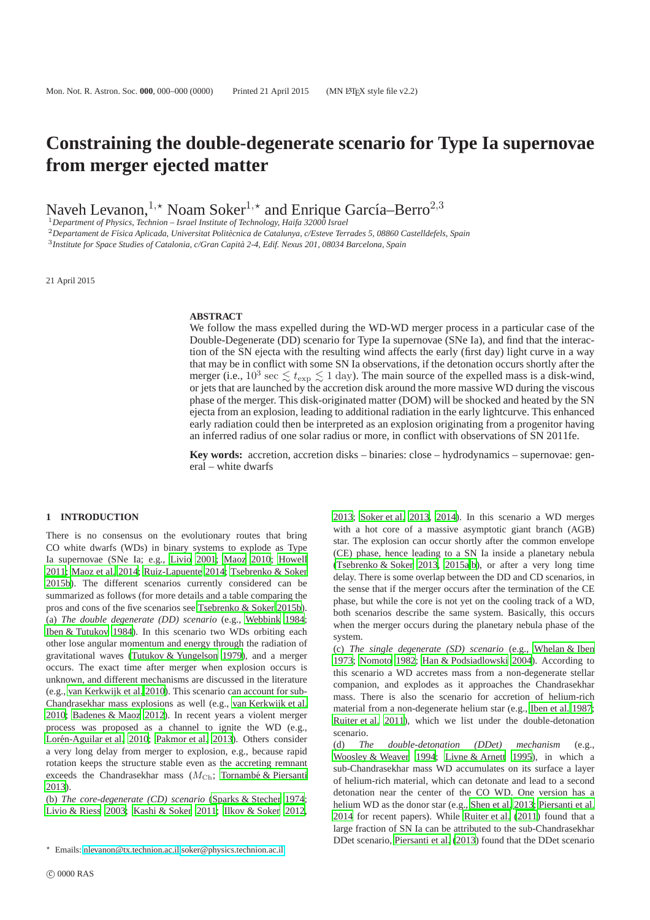# **Constraining the double-degenerate scenario for Type Ia supernovae from merger ejected matter**

Naveh Levanon,<sup>1,\*</sup> Noam Soker<sup>1,\*</sup> and Enrique García–Berro<sup>2,3</sup>

<sup>1</sup>*Department of Physics, Technion – Israel Institute of Technology, Haifa 32000 Israel*

<sup>2</sup>Departament de Física Aplicada, Universitat Politècnica de Catalunya, c/Esteve Terrades 5, 08860 Castelldefels, Spain

3 *Institute for Space Studies of Catalonia, c/Gran Capita 2-4, Edif. Nexus 201, 08034 Barcelona, Spain `*

21 April 2015

### **ABSTRACT**

We follow the mass expelled during the WD-WD merger process in a particular case of the Double-Degenerate (DD) scenario for Type Ia supernovae (SNe Ia), and find that the interaction of the SN ejecta with the resulting wind affects the early (first day) light curve in a way that may be in conflict with some SN Ia observations, if the detonation occurs shortly after the merger (i.e.,  $10^3 \text{ sec } \lesssim t_{\text{exp}} \lesssim 1 \text{ day}$ ). The main source of the expelled mass is a disk-wind, or jets that are launched by the accretion disk around the more massive WD during the viscous phase of the merger. This disk-originated matter (DOM) will be shocked and heated by the SN ejecta from an explosion, leading to additional radiation in the early lightcurve. This enhanced early radiation could then be interpreted as an explosion originating from a progenitor having an inferred radius of one solar radius or more, in conflict with observations of SN 2011fe.

**Key words:** accretion, accretion disks – binaries: close – hydrodynamics – supernovae: general – white dwarfs

#### **1 INTRODUCTION**

There is no consensus on the evolutionary routes that bring CO white dwarfs (WDs) in binary systems to explode as Type Ia supernovae (SNe Ia; e.g., [Livio 2001;](#page-6-0) [Maoz 2010;](#page-6-1) [Howell](#page-6-2) [2011](#page-6-2); [Maoz et al. 2014](#page-6-3); [Ruiz-Lapuente 2014;](#page-6-4) [Tsebrenko & Soker](#page-6-5) [2015b\)](#page-6-5). The different scenarios currently considered can be summarized as follows (for more details and a table comparing the pros and cons of the five scenarios see [Tsebrenko & Soker 2015b\)](#page-6-5). (a) *The double degenerate (DD) scenario* (e.g., [Webbink 1984;](#page-6-6) [Iben & Tutukov 1984](#page-6-7)). In this scenario two WDs orbiting each other lose angular momentum and energy through the radiation of gravitational waves [\(Tutukov & Yungelson 1979\)](#page-6-8), and a merger occurs. The exact time after merger when explosion occurs is unknown, and different mechanisms are discussed in the literature (e.g., [van Kerkwijk et al. 2010\)](#page-6-9). This scenario can account for sub-Chandrasekhar mass explosions as well (e.g., [van Kerkwijk et al.](#page-6-9) [2010](#page-6-9); [Badenes & Maoz 2012](#page-6-10)). In recent years a violent merger process was proposed as a channel to ignite the WD (e.g., Lorén-Aguilar et al. 2010; [Pakmor et al. 2013\)](#page-6-12). Others consider a very long delay from merger to explosion, e.g., because rapid rotation keeps the structure stable even as the accreting remnant exceeds the Chandrasekhar mass  $(M<sub>Ch</sub>; Tornambé & Piersanti)$ [2013](#page-6-13)).

(b) *The core-degenerate (CD) scenario* [\(Sparks & Stecher 1974;](#page-6-14) [Livio & Riess 2003;](#page-6-15) [Kashi & Soker 2011](#page-6-16); [Ilkov & Soker 2012,](#page-6-17) [2013](#page-6-18); [Soker et al. 2013,](#page-6-19) [2014](#page-6-20)). In this scenario a WD merges with a hot core of a massive asymptotic giant branch (AGB) star. The explosion can occur shortly after the common envelope (CE) phase, hence leading to a SN Ia inside a planetary nebula [\(Tsebrenko & Soker 2013,](#page-6-21) [2015a](#page-6-22)[,b](#page-6-5)), or after a very long time delay. There is some overlap between the DD and CD scenarios, in the sense that if the merger occurs after the termination of the CE phase, but while the core is not yet on the cooling track of a WD, both scenarios describe the same system. Basically, this occurs when the merger occurs during the planetary nebula phase of the system.

(c) *The single degenerate (SD) scenario* (e.g., [Whelan & Iben](#page-6-23) [1973](#page-6-23); [Nomoto 1982](#page-6-24); [Han & Podsiadlowski 2004\)](#page-6-25). According to this scenario a WD accretes mass from a non-degenerate stellar companion, and explodes as it approaches the Chandrasekhar mass. There is also the scenario for accretion of helium-rich material from a non-degenerate helium star (e.g., [Iben et al. 1987;](#page-6-26) [Ruiter et al. 2011\)](#page-6-27), which we list under the double-detonation scenario.

(d) *The double-detonation (DDet) mechanism* (e.g., [Woosley & Weaver 1994;](#page-6-28) [Livne & Arnett 1995\)](#page-6-29), in which a sub-Chandrasekhar mass WD accumulates on its surface a layer of helium-rich material, which can detonate and lead to a second detonation near the center of the CO WD. One version has a helium WD as the donor star (e.g., [Shen et al. 2013](#page-6-30); [Piersanti et al.](#page-6-31) [2014](#page-6-31) for recent papers). While [Ruiter et al.](#page-6-27) [\(2011\)](#page-6-27) found that a large fraction of SN Ia can be attributed to the sub-Chandrasekhar DDet scenario, [Piersanti et al. \(2013](#page-6-32)) found that the DDet scenario

<sup>⋆</sup> Emails: [nlevanon@tx.technion.ac.il](mailto:nlevanon@tx.technion.ac.il)[,soker@physics.technion.ac.il](mailto:soker@physics.technion.ac.il)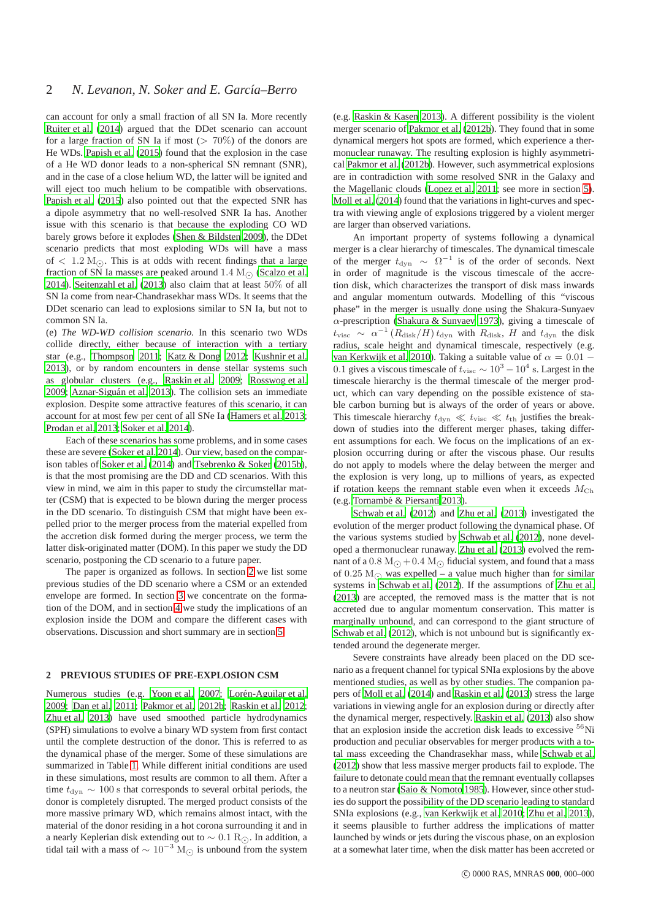can account for only a small fraction of all SN Ia. More recently [Ruiter et al.](#page-6-33) [\(2014](#page-6-33)) argued that the DDet scenario can account for a large fraction of SN Ia if most ( $> 70\%$ ) of the donors are He WDs. [Papish et al. \(2015\)](#page-6-34) found that the explosion in the case of a He WD donor leads to a non-spherical SN remnant (SNR), and in the case of a close helium WD, the latter will be ignited and will eject too much helium to be compatible with observations. [Papish et al. \(2015](#page-6-34)) also pointed out that the expected SNR has a dipole asymmetry that no well-resolved SNR Ia has. Another issue with this scenario is that because the exploding CO WD barely grows before it explodes [\(Shen & Bildsten 2009\)](#page-6-35), the DDet scenario predicts that most exploding WDs will have a mass of  $\langle 1.2 \text{ M}_{\odot}$ . This is at odds with recent findings that a large fraction of SN Ia masses are peaked around 1.4 M<sub> $\odot$ </sub> [\(Scalzo et al.](#page-6-36) [2014](#page-6-36)). [Seitenzahl et al. \(2013](#page-6-37)) also claim that at least 50% of all SN Ia come from near-Chandrasekhar mass WDs. It seems that the DDet scenario can lead to explosions similar to SN Ia, but not to common SN Ia.

(e) *The WD-WD collision scenario.* In this scenario two WDs collide directly, either because of interaction with a tertiary star (e.g., [Thompson 2011;](#page-6-38) [Katz & Dong 2012;](#page-6-39) [Kushnir et al.](#page-6-40) [2013](#page-6-40)), or by random encounters in dense stellar systems such as globular clusters (e.g., [Raskin et al. 2009;](#page-6-41) [Rosswog et al.](#page-6-42) [2009](#page-6-42); Aznar-Siguán et al. 2013). The collision sets an immediate explosion. Despite some attractive features of this scenario, it can account for at most few per cent of all SNe Ia [\(Hamers et al. 2013;](#page-6-44) [Prodan et al. 2013](#page-6-45); [Soker et al. 2014\)](#page-6-20).

Each of these scenarios has some problems, and in some cases these are severe [\(Soker et al. 2014\)](#page-6-20). Our view, based on the comparison tables of [Soker et al. \(2014](#page-6-20)) and [Tsebrenko & Soker](#page-6-5) [\(2015b\)](#page-6-5), is that the most promising are the DD and CD scenarios. With this view in mind, we aim in this paper to study the circumstellar matter (CSM) that is expected to be blown during the merger process in the DD scenario. To distinguish CSM that might have been expelled prior to the merger process from the material expelled from the accretion disk formed during the merger process, we term the latter disk-originated matter (DOM). In this paper we study the DD scenario, postponing the CD scenario to a future paper.

The paper is organized as follows. In section [2](#page-1-0) we list some previous studies of the DD scenario where a CSM or an extended envelope are formed. In section [3](#page-2-0) we concentrate on the formation of the DOM, and in section [4](#page-3-0) we study the implications of an explosion inside the DOM and compare the different cases with observations. Discussion and short summary are in section [5.](#page-5-0)

## <span id="page-1-0"></span>**2 PREVIOUS STUDIES OF PRE-EXPLOSION CSM**

Numerous studies (e.g. [Yoon et al. 2007](#page-6-46); Lorén-Aguilar et al. [2009](#page-6-47); [Dan et al. 2011;](#page-6-48) [Pakmor et al. 2012b;](#page-6-49) [Raskin et al. 2012;](#page-6-50) [Zhu et al. 2013\)](#page-6-51) have used smoothed particle hydrodynamics (SPH) simulations to evolve a binary WD system from first contact until the complete destruction of the donor. This is referred to as the dynamical phase of the merger. Some of these simulations are summarized in Table [1.](#page-2-1) While different initial conditions are used in these simulations, most results are common to all them. After a time  $t_{\text{dyn}} \sim 100$  s that corresponds to several orbital periods, the donor is completely disrupted. The merged product consists of the more massive primary WD, which remains almost intact, with the material of the donor residing in a hot corona surrounding it and in a nearly Keplerian disk extending out to  $\sim 0.1 \text{ R}$ <sub>⊙</sub>. In addition, a tidal tail with a mass of  $\sim 10^{-3}$  M<sub>⊙</sub> is unbound from the system (e.g. [Raskin & Kasen 2013\)](#page-6-52). A different possibility is the violent merger scenario of [Pakmor et al. \(2012b](#page-6-49)). They found that in some dynamical mergers hot spots are formed, which experience a thermonuclear runaway. The resulting explosion is highly asymmetrical [Pakmor et al. \(2012b\)](#page-6-49). However, such asymmetrical explosions are in contradiction with some resolved SNR in the Galaxy and the Magellanic clouds [\(Lopez et al. 2011;](#page-6-53) see more in section [5\)](#page-5-0). [Moll et al. \(2014\)](#page-6-54) found that the variations in light-curves and spectra with viewing angle of explosions triggered by a violent merger are larger than observed variations.

An important property of systems following a dynamical merger is a clear hierarchy of timescales. The dynamical timescale of the merger  $t_{\text{dyn}} \sim \Omega^{-1}$  is of the order of seconds. Next in order of magnitude is the viscous timescale of the accretion disk, which characterizes the transport of disk mass inwards and angular momentum outwards. Modelling of this "viscous phase" in the merger is usually done using the Shakura-Sunyaev  $\alpha$ -prescription [\(Shakura & Sunyaev 1973](#page-6-55)), giving a timescale of  $t_{\text{visc}} \sim \alpha^{-1} (R_{\text{disk}}/H) t_{\text{dyn}}$  with  $R_{\text{disk}}$ , H and  $t_{\text{dyn}}$  the disk radius, scale height and dynamical timescale, respectively (e.g. [van Kerkwijk et al. 2010](#page-6-9)). Taking a suitable value of  $\alpha = 0.01$  – 0.1 gives a viscous timescale of  $t_{\text{visc}} \sim 10^3 - 10^4$  s. Largest in the timescale hierarchy is the thermal timescale of the merger product, which can vary depending on the possible existence of stable carbon burning but is always of the order of years or above. This timescale hierarchy  $t_{\text{dyn}} \ll t_{\text{visc}} \ll t_{\text{th}}$  justifies the breakdown of studies into the different merger phases, taking different assumptions for each. We focus on the implications of an explosion occurring during or after the viscous phase. Our results do not apply to models where the delay between the merger and the explosion is very long, up to millions of years, as expected if rotation keeps the remnant stable even when it exceeds  $M_{\rm Ch}$ (e.g.,Tornambé & Piersanti 2013).

[Schwab et al. \(2012](#page-6-56)) and [Zhu et al. \(2013](#page-6-51)) investigated the evolution of the merger product following the dynamical phase. Of the various systems studied by [Schwab et al. \(2012](#page-6-56)), none developed a thermonuclear runaway. [Zhu et al. \(2013](#page-6-51)) evolved the remnant of a 0.8 M $\odot$  + 0.4 M $\odot$  fiducial system, and found that a mass of 0.25 M<sub> $\odot$ </sub> was expelled – a value much higher than for similar systems in [Schwab et al. \(2012](#page-6-56)). If the assumptions of [Zhu et al.](#page-6-51) [\(2013](#page-6-51)) are accepted, the removed mass is the matter that is not accreted due to angular momentum conservation. This matter is marginally unbound, and can correspond to the giant structure of [Schwab et al. \(2012](#page-6-56)), which is not unbound but is significantly extended around the degenerate merger.

Severe constraints have already been placed on the DD scenario as a frequent channel for typical SNIa explosions by the above mentioned studies, as well as by other studies. The companion papers of [Moll et al. \(2014](#page-6-54)) and [Raskin et al. \(2013](#page-6-57)) stress the large variations in viewing angle for an explosion during or directly after the dynamical merger, respectively. [Raskin et al. \(2013](#page-6-57)) also show that an explosion inside the accretion disk leads to excessive  ${}^{56}$ Ni production and peculiar observables for merger products with a total mass exceeding the Chandrasekhar mass, while [Schwab et al.](#page-6-56) [\(2012](#page-6-56)) show that less massive merger products fail to explode. The failure to detonate could mean that the remnant eventually collapses to a neutron star [\(Saio & Nomoto 1985\)](#page-6-58). However, since other studies do support the possibility of the DD scenario leading to standard SNIa explosions (e.g., [van Kerkwijk et al. 2010](#page-6-9); [Zhu et al. 2013\)](#page-6-51), it seems plausible to further address the implications of matter launched by winds or jets during the viscous phase, on an explosion at a somewhat later time, when the disk matter has been accreted or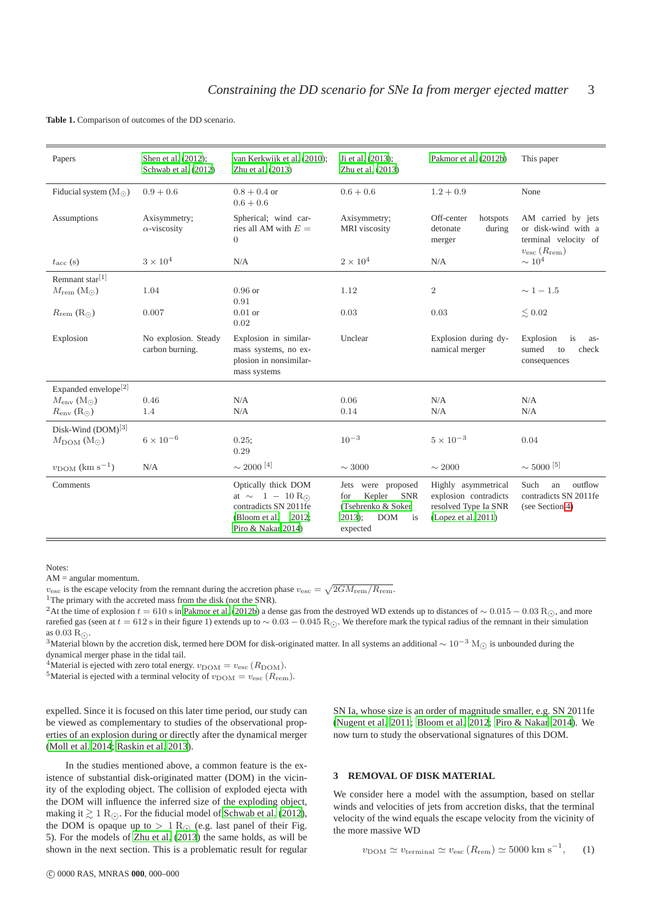<span id="page-2-1"></span>**Table 1.** Comparison of outcomes of the DD scenario.

| Papers                                 | Shen et al. (2012);<br>Schwab et al. (2012) | van Kerkwijk et al. (2010);<br>Zhu et al. (2013)                                                                                                  | Ji et al. (2013);<br>Zhu et al. (2013)                                                                                  | Pakmor et al. (2012b)                                                                       | This paper                                                                                      |
|----------------------------------------|---------------------------------------------|---------------------------------------------------------------------------------------------------------------------------------------------------|-------------------------------------------------------------------------------------------------------------------------|---------------------------------------------------------------------------------------------|-------------------------------------------------------------------------------------------------|
| Fiducial system $(Mo)$                 | $0.9 + 0.6$                                 | $0.8 + 0.4$ or<br>$0.6 + 0.6$                                                                                                                     | $0.6 + 0.6$                                                                                                             | $1.2 + 0.9$                                                                                 | None                                                                                            |
| Assumptions                            | Axisymmetry;<br>$\alpha$ -viscosity         | Spherical; wind car-<br>ries all AM with $E =$<br>$\overline{0}$                                                                                  | Axisymmetry;<br>MRI viscosity                                                                                           | Off-center<br>hotspots<br>detonate<br>during<br>merger                                      | AM carried by jets<br>or disk-wind with a<br>terminal velocity of<br>$v_{\rm esc}(R_{\rm rem})$ |
| $t_{\rm acc}$ (s)                      | $3 \times 10^4$                             | N/A                                                                                                                                               | $2\times10^4$                                                                                                           | N/A                                                                                         | $\sim 10^4$                                                                                     |
| Remnant star $[1]$                     |                                             |                                                                                                                                                   |                                                                                                                         |                                                                                             |                                                                                                 |
| $M_{\text{rem}}\left(M_{\odot}\right)$ | 1.04                                        | $0.96$ or<br>0.91                                                                                                                                 | 1.12                                                                                                                    | $\overline{2}$                                                                              | $\sim 1-1.5$                                                                                    |
| $R_{\text{rem}}\left(R_{\odot}\right)$ | 0.007                                       | $0.01$ or<br>0.02                                                                                                                                 | 0.03                                                                                                                    | 0.03                                                                                        | $\lesssim 0.02$                                                                                 |
| Explosion                              | No explosion. Steady<br>carbon burning.     | Explosion in similar-<br>mass systems, no ex-<br>plosion in nonsimilar-<br>mass systems                                                           | Unclear                                                                                                                 | Explosion during dy-<br>namical merger                                                      | is<br>Explosion<br>as-<br>sumed<br>check<br>to<br>consequences                                  |
| Expanded envelope <sup>[2]</sup>       |                                             |                                                                                                                                                   |                                                                                                                         |                                                                                             |                                                                                                 |
| $M_{\rm env}$ (Mo)                     | 0.46                                        | N/A                                                                                                                                               | 0.06                                                                                                                    | N/A                                                                                         | N/A                                                                                             |
| $R_{\rm env}(\rm R_{\odot})$           | 1.4                                         | N/A                                                                                                                                               | 0.14                                                                                                                    | N/A                                                                                         | N/A                                                                                             |
| Disk-Wind $(DOM)^{[3]}$                |                                             |                                                                                                                                                   |                                                                                                                         |                                                                                             |                                                                                                 |
| $M_{\rm DOM}$ (Mo)                     | $6 \times 10^{-6}$                          | 0.25;<br>0.29                                                                                                                                     | $10^{-3}$                                                                                                               | $5 \times 10^{-3}$                                                                          | 0.04                                                                                            |
| $v_{\text{DOM}}$ (km s <sup>-1</sup> ) | N/A                                         | $\sim 2000$ $^{[4]}$                                                                                                                              | $\sim 3000$                                                                                                             | $\sim 2000$                                                                                 | $\sim$ 5000 $^{[5]}$                                                                            |
| Comments                               |                                             | Optically thick DOM<br>at $\sim$ 1 - 10 R <sub><math>\odot</math></sub><br>contradicts SN 2011fe<br>2012;<br>(Bloom et al.)<br>Piro & Nakar 2014) | were proposed<br>Jets<br><b>SNR</b><br>Kepler<br>for<br>(Tsebrenko & Soker)<br><b>DOM</b><br>$2013$ ;<br>is<br>expected | Highly asymmetrical<br>explosion contradicts<br>resolved Type Ia SNR<br>(Lopez et al. 2011) | Such<br>outflow<br>an<br>contradicts SN 2011fe<br>(see Section 4)                               |

Notes:

AM = angular momentum.

 $v_{\text{esc}}$  is the escape velocity from the remnant during the accretion phase  $v_{\text{esc}} = \sqrt{2GM_{\text{rem}}/R_{\text{rem}}}.$ 

<sup>1</sup>The primary with the accreted mass from the disk (not the SNR).

<sup>2</sup>At the time of explosion  $t = 610$  s in [Pakmor et al. \(2012b\)](#page-6-49) a dense gas from the destroyed WD extends up to distances of ~ 0.015 − 0.03 R<sub>⊙</sub>, and more rarefied gas (seen at  $t = 612$  s in their figure 1) extends up to ~ 0.03 − 0.045 R<sub>⊙</sub>. We therefore mark the typical radius of the remnant in their simulation as  $0.03 R_{\odot}$ .

<sup>3</sup>Material blown by the accretion disk, termed here DOM for disk-originated matter. In all systems an additional  $\sim 10^{-3}$  M<sub>○</sub> is unbounded during the dynamical merger phase in the tidal tail.

<sup>4</sup>Material is ejected with zero total energy.  $v_{\text{DOM}} = v_{\text{esc}} (R_{\text{DOM}})$ .

<sup>5</sup>Material is ejected with a terminal velocity of  $v_{\rm DOM} = v_{\rm esc}$  ( $R_{\rm rem}$ ).

expelled. Since it is focused on this later time period, our study can be viewed as complementary to studies of the observational properties of an explosion during or directly after the dynamical merger [\(Moll et al. 2014](#page-6-54); [Raskin et al. 2013\)](#page-6-57).

In the studies mentioned above, a common feature is the existence of substantial disk-originated matter (DOM) in the vicinity of the exploding object. The collision of exploded ejecta with the DOM will influence the inferred size of the exploding object, making it  $\gtrsim 1 \text{ R}$ <sub>⊙</sub>. For the fiducial model of [Schwab et al. \(2012\)](#page-6-56), the DOM is opaque up to  $> 1 \text{ R}$  (e.g. last panel of their Fig. 5). For the models of [Zhu et al. \(2013](#page-6-51)) the same holds, as will be shown in the next section. This is a problematic result for regular

SN Ia, whose size is an order of magnitude smaller, e.g. SN 2011fe [\(Nugent et al. 2011;](#page-6-63) [Bloom et al. 2012;](#page-6-61) [Piro & Nakar 2014\)](#page-6-62). We now turn to study the observational signatures of this DOM.

#### <span id="page-2-0"></span>**3 REMOVAL OF DISK MATERIAL**

We consider here a model with the assumption, based on stellar winds and velocities of jets from accretion disks, that the terminal velocity of the wind equals the escape velocity from the vicinity of the more massive WD

$$
v_{\rm DOM} \simeq v_{\rm terminal} \simeq v_{\rm esc} (R_{\rm rem}) \simeq 5000 \text{ km s}^{-1}, \qquad (1)
$$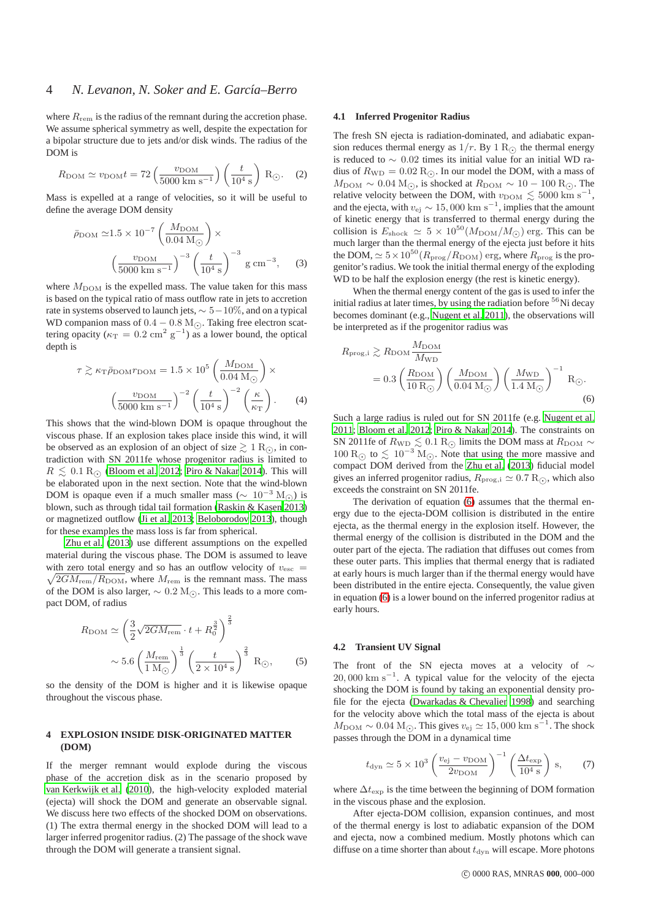where  $R_{\text{rem}}$  is the radius of the remnant during the accretion phase. We assume spherical symmetry as well, despite the expectation for a bipolar structure due to jets and/or disk winds. The radius of the DOM is

$$
R_{\text{DOM}} \simeq v_{\text{DOM}} t = 72 \left( \frac{v_{\text{DOM}}}{5000 \text{ km s}^{-1}} \right) \left( \frac{t}{10^4 \text{ s}} \right) \text{ R}_{\odot}.
$$
 (2)

Mass is expelled at a range of velocities, so it will be useful to define the average DOM density

$$
\bar{\rho}_{\text{DOM}} \simeq 1.5 \times 10^{-7} \left( \frac{M_{\text{DOM}}}{0.04 \text{ M}_{\odot}} \right) \times \left( \frac{v_{\text{DOM}}}{5000 \text{ km s}^{-1}} \right)^{-3} \left( \frac{t}{10^4 \text{ s}} \right)^{-3} \text{ g cm}^{-3}, \quad (3)
$$

where  $M_{\text{DOM}}$  is the expelled mass. The value taken for this mass is based on the typical ratio of mass outflow rate in jets to accretion rate in systems observed to launch jets,  $\sim 5-10\%$ , and on a typical WD companion mass of  $0.4 - 0.8$  M<sub> $\odot$ </sub>. Taking free electron scattering opacity ( $\kappa_T = 0.2$  cm<sup>2</sup> g<sup>-1</sup>) as a lower bound, the optical depth is

$$
\tau \gtrsim \kappa_{\text{T}} \bar{\rho}_{\text{DOMTDOM}} = 1.5 \times 10^5 \left( \frac{M_{\text{DOM}}}{0.04 \text{ M}_{\odot}} \right) \times \left( \frac{v_{\text{DOM}}}{5000 \text{ km s}^{-1}} \right)^{-2} \left( \frac{t}{10^4 \text{ s}} \right)^{-2} \left( \frac{\kappa}{\kappa_{\text{T}}} \right). \tag{4}
$$

This shows that the wind-blown DOM is opaque throughout the viscous phase. If an explosion takes place inside this wind, it will be observed as an explosion of an object of size  $\gtrsim 1 \text{ R}_\odot$ , in contradiction with SN 2011fe whose progenitor radius is limited to  $R \leq 0.1$  R<sub> $\odot$ </sub> [\(Bloom et al. 2012;](#page-6-61) [Piro & Nakar 2014\)](#page-6-62). This will be elaborated upon in the next section. Note that the wind-blown DOM is opaque even if a much smaller mass ( $\sim 10^{-3}$  M<sub>⊙</sub>) is blown, such as through tidal tail formation [\(Raskin & Kasen 2013](#page-6-52)) or magnetized outflow [\(Ji et al. 2013;](#page-6-60) [Beloborodov 2013](#page-6-64)), though for these examples the mass loss is far from spherical.

[Zhu et al. \(2013\)](#page-6-51) use different assumptions on the expelled material during the viscous phase. The DOM is assumed to leave with zero total energy and so has an outflow velocity of  $v_{\text{esc}} =$ with zero total energy and so has an outflow velocity of  $v_{\text{esc}} = \sqrt{2GM_{\text{rem}}/R_{\text{DOM}}}$ , where  $M_{\text{rem}}$  is the remnant mass. The mass of the DOM is also larger,  $\sim 0.2$  M<sub>⊙</sub>. This leads to a more compact DOM, of radius

$$
R_{\text{DOM}} \simeq \left(\frac{3}{2}\sqrt{2GM_{\text{rem}}} \cdot t + R_0^{\frac{3}{2}}\right)^{\frac{2}{3}}\n\sim 5.6 \left(\frac{M_{\text{rem}}}{1 \text{ M}_{\odot}}\right)^{\frac{1}{3}} \left(\frac{t}{2 \times 10^4 \text{ s}}\right)^{\frac{2}{3}} \text{ R}_{\odot},\n\tag{5}
$$

so the density of the DOM is higher and it is likewise opaque throughout the viscous phase.

### <span id="page-3-0"></span>**4 EXPLOSION INSIDE DISK-ORIGINATED MATTER (DOM)**

If the merger remnant would explode during the viscous phase of the accretion disk as in the scenario proposed by [van Kerkwijk et al. \(2010](#page-6-9)), the high-velocity exploded material (ejecta) will shock the DOM and generate an observable signal. We discuss here two effects of the shocked DOM on observations. (1) The extra thermal energy in the shocked DOM will lead to a larger inferred progenitor radius. (2) The passage of the shock wave through the DOM will generate a transient signal.

#### <span id="page-3-2"></span>**4.1 Inferred Progenitor Radius**

The fresh SN ejecta is radiation-dominated, and adiabatic expansion reduces thermal energy as  $1/r$ . By  $1 \text{ R}$  the thermal energy is reduced to ∼ 0.02 times its initial value for an initial WD radius of  $R_{\text{WD}} = 0.02 \text{ R}$ . In our model the DOM, with a mass of  $M_{\text{DOM}} \sim 0.04 \text{ M}_{\odot}$ , is shocked at  $R_{\text{DOM}} \sim 10 - 100 \text{ R}_{\odot}$ . The relative velocity between the DOM, with  $v_{\text{DOM}} \lesssim 5000 \text{ km s}^{-1}$ , and the ejecta, with  $v_{\text{ej}} \sim 15,000 \text{ km s}^{-1}$ , implies that the amount of kinetic energy that is transferred to thermal energy during the collision is  $E_{\text{shock}} \simeq 5 \times 10^{50} (M_{\text{DOM}}/M_{\odot})$  erg. This can be much larger than the thermal energy of the ejecta just before it hits the DOM,  $\simeq 5 \times 10^{50} (R_{\text{prog}}/R_{\text{DOM}})$  erg, where  $R_{\text{prog}}$  is the progenitor's radius. We took the initial thermal energy of the exploding WD to be half the explosion energy (the rest is kinetic energy).

When the thermal energy content of the gas is used to infer the initial radius at later times, by using the radiation before  $56$ Ni decay becomes dominant (e.g., [Nugent et al. 2011\)](#page-6-63), the observations will be interpreted as if the progenitor radius was

<span id="page-3-1"></span>
$$
R_{\text{prog,i}} \gtrsim R_{\text{DOM}} \frac{M_{\text{DOM}}}{M_{\text{WD}}} = 0.3 \left( \frac{R_{\text{DOM}}}{10 \text{ R}_{\odot}} \right) \left( \frac{M_{\text{DOM}}}{0.04 \text{ M}_{\odot}} \right) \left( \frac{M_{\text{WD}}}{1.4 \text{ M}_{\odot}} \right)^{-1} \text{ R}_{\odot}.
$$
\n(6)

Such a large radius is ruled out for SN 2011fe (e.g. [Nugent et al.](#page-6-63) [2011](#page-6-63); [Bloom et al. 2012;](#page-6-61) [Piro & Nakar 2014](#page-6-62)). The constraints on SN 2011fe of  $R_{\rm WD} \lesssim 0.1 \rm \,R_{\odot}$  limits the DOM mass at  $R_{\rm DOM} \sim$  $100 \text{ R}$  to  $\leq 10^{-3} \text{ M}$ . Note that using the more massive and compact DOM derived from the [Zhu et al.](#page-6-51) [\(2013\)](#page-6-51) fiducial model gives an inferred progenitor radius,  $R_{\text{prog},i} \simeq 0.7 \, \text{R}_{\odot}$ , which also exceeds the constraint on SN 2011fe.

The derivation of equation [\(6\)](#page-3-1) assumes that the thermal energy due to the ejecta-DOM collision is distributed in the entire ejecta, as the thermal energy in the explosion itself. However, the thermal energy of the collision is distributed in the DOM and the outer part of the ejecta. The radiation that diffuses out comes from these outer parts. This implies that thermal energy that is radiated at early hours is much larger than if the thermal energy would have been distributed in the entire ejecta. Consequently, the value given in equation [\(6\)](#page-3-1) is a lower bound on the inferred progenitor radius at early hours.

#### <span id="page-3-3"></span>**4.2 Transient UV Signal**

The front of the SN ejecta moves at a velocity of  $\sim$  $20,000 \text{ km s}^{-1}$ . A typical value for the velocity of the ejecta shocking the DOM is found by taking an exponential density profile for the ejecta [\(Dwarkadas & Chevalier 1998\)](#page-6-65) and searching for the velocity above which the total mass of the ejecta is about  $M_{\text{DOM}} \sim 0.04 \text{ M}_{\odot}$ . This gives  $v_{\text{ej}} \simeq 15,000 \text{ km s}^{-1}$ . The shock passes through the DOM in a dynamical time

$$
t_{\rm dyn} \simeq 5 \times 10^3 \left( \frac{v_{\rm ej} - v_{\rm DOM}}{2v_{\rm DOM}} \right)^{-1} \left( \frac{\Delta t_{\rm exp}}{10^4 \text{ s}} \right) \text{ s}, \qquad (7)
$$

where  $\Delta t_{\rm exp}$  is the time between the beginning of DOM formation in the viscous phase and the explosion.

After ejecta-DOM collision, expansion continues, and most of the thermal energy is lost to adiabatic expansion of the DOM and ejecta, now a combined medium. Mostly photons which can diffuse on a time shorter than about  $t_{\text{dyn}}$  will escape. More photons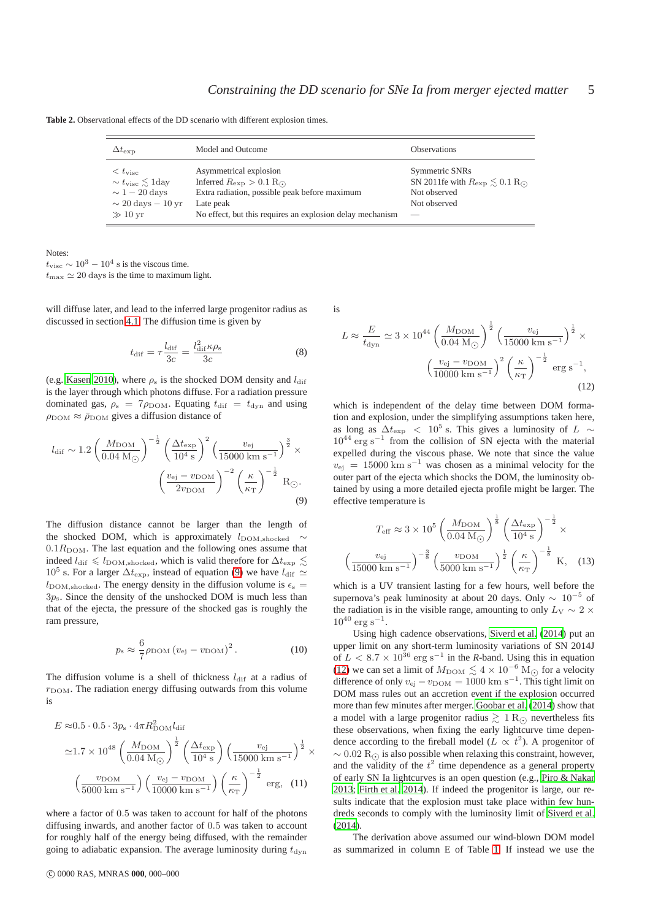<span id="page-4-2"></span>

| $\Delta t_{\rm exp}$                                                                                                                                     | Model and Outcome                                                                                                                                                                                                 | <b>Observations</b>                                                                                    |
|----------------------------------------------------------------------------------------------------------------------------------------------------------|-------------------------------------------------------------------------------------------------------------------------------------------------------------------------------------------------------------------|--------------------------------------------------------------------------------------------------------|
| $\langle t_{\rm visc}$<br>$\sim t_{\rm visc} \leq 1$ day<br>$\sim 1-20 \text{ days}$<br>$\sim 20 \text{ days} - 10 \text{ yr}$<br>$\gg 10 \,\mathrm{yr}$ | Asymmetrical explosion<br>Inferred $R_{\rm exp} > 0.1$ R <sub><math>\odot</math></sub><br>Extra radiation, possible peak before maximum<br>Late peak<br>No effect, but this requires an explosion delay mechanism | Symmetric SNRs<br>SN 2011fe with $R_{\rm exp} \leq 0.1$ R <sub>O</sub><br>Not observed<br>Not observed |

**Table 2.** Observational effects of the DD scenario with different explosion times.

Notes:  $t_{\rm visc} \sim 10^3 - 10^4$  s is the viscous time.  $t_{\text{max}} \simeq 20 \text{ days}$  is the time to maximum light.

will diffuse later, and lead to the inferred large progenitor radius as discussed in section [4.1.](#page-3-2) The diffusion time is given by

$$
t_{\rm dif} = \tau \frac{l_{\rm dif}}{3c} = \frac{l_{\rm dif}^2 \kappa \rho_{\rm s}}{3c} \tag{8}
$$

(e.g. [Kasen 2010\)](#page-6-66), where  $\rho_s$  is the shocked DOM density and  $l_{\text{dif}}$ is the layer through which photons diffuse. For a radiation pressure dominated gas,  $\rho_s = 7 \rho_{\text{DOM}}$ . Equating  $t_{\text{dif}} = t_{\text{dyn}}$  and using  $\rho_{\text{DOM}} \approx \bar{\rho}_{\text{DOM}}$  gives a diffusion distance of

$$
l_{\text{dif}} \sim 1.2 \left(\frac{M_{\text{DOM}}}{0.04 \text{ M}_{\odot}}\right)^{-\frac{1}{2}} \left(\frac{\Delta t_{\text{exp}}}{10^4 \text{ s}}\right)^2 \left(\frac{v_{\text{ej}}}{15000 \text{ km s}^{-1}}\right)^{\frac{3}{2}} \times \left(\frac{v_{\text{ej}} - v_{\text{DOM}}}{2v_{\text{DOM}}}\right)^{-2} \left(\frac{\kappa}{\kappa_{\text{T}}}\right)^{-\frac{1}{2}} \text{R}_{\odot}.
$$
\n(9)

The diffusion distance cannot be larger than the length of the shocked DOM, which is approximately  $l_{\rm DOM,shoked}$  $0.1R<sub>DOM</sub>$ . The last equation and the following ones assume that indeed  $l_{\text{dif}} \leq l_{\text{DOM,shoked}}$ , which is valid therefore for  $\Delta t_{\text{exp}} \leq$  $10^5$  s. For a larger  $\Delta t_{\rm exp}$ , instead of equation [\(9\)](#page-4-0) we have  $l_{\rm diff} \simeq$  $l_{\text{DOM,shocked}}$ . The energy density in the diffusion volume is  $\epsilon_{\text{s}} =$  $3p_s$ . Since the density of the unshocked DOM is much less than that of the ejecta, the pressure of the shocked gas is roughly the ram pressure,

$$
p_{\rm s} \approx \frac{6}{7} \rho_{\rm DOM} \left(v_{\rm ej} - v_{\rm DOM}\right)^2. \tag{10}
$$

The diffusion volume is a shell of thickness  $l_{\text{dif}}$  at a radius of  $r_{\text{DOM}}$ . The radiation energy diffusing outwards from this volume is

$$
E \approx 0.5 \cdot 0.5 \cdot 3p_s \cdot 4\pi R_{\text{DOM}}^2 \text{diff}
$$
  

$$
\approx 1.7 \times 10^{48} \left(\frac{M_{\text{DOM}}}{0.04 \text{ M}_{\odot}}\right)^{\frac{1}{2}} \left(\frac{\Delta t_{\text{exp}}}{10^4 \text{ s}}\right) \left(\frac{v_{\text{ej}}}{15000 \text{ km s}^{-1}}\right)^{\frac{1}{2}} \times
$$
  

$$
\left(\frac{v_{\text{DOM}}}{5000 \text{ km s}^{-1}}\right) \left(\frac{v_{\text{ej}} - v_{\text{DOM}}}{10000 \text{ km s}^{-1}}\right) \left(\frac{\kappa}{\kappa_{\text{T}}}\right)^{-\frac{1}{2}} \text{erg}, (11)
$$

where a factor of 0.5 was taken to account for half of the photons diffusing inwards, and another factor of 0.5 was taken to account for roughly half of the energy being diffused, with the remainder going to adiabatic expansion. The average luminosity during  $t_{\text{dyn}}$  is

<span id="page-4-1"></span>
$$
L \approx \frac{E}{t_{\rm dyn}} \simeq 3 \times 10^{44} \left(\frac{M_{\rm DOM}}{0.04 \, \rm M_{\odot}}\right)^{\frac{1}{2}} \left(\frac{v_{\rm ej}}{15000 \, \rm km \, s^{-1}}\right)^{\frac{1}{2}} \times \left(\frac{v_{\rm ej} - v_{\rm DOM}}{10000 \, \rm km \, s^{-1}}\right)^2 \left(\frac{\kappa}{\kappa_{\rm T}}\right)^{-\frac{1}{2}} \, \rm erg \, s^{-1},\tag{12}
$$

which is independent of the delay time between DOM formation and explosion, under the simplifying assumptions taken here, as long as  $\Delta t_{\rm exp}$  < 10<sup>5</sup> s. This gives a luminosity of L ∼  $10^{44}$  erg s<sup>-1</sup> from the collision of SN ejecta with the material expelled during the viscous phase. We note that since the value  $v_{\text{ej}}$  = 15000 km s<sup>-1</sup> was chosen as a minimal velocity for the outer part of the ejecta which shocks the DOM, the luminosity obtained by using a more detailed ejecta profile might be larger. The effective temperature is

<span id="page-4-0"></span>
$$
T_{\text{eff}} \approx 3 \times 10^5 \left(\frac{M_{\text{DOM}}}{0.04 \text{ M}_{\odot}}\right)^{\frac{1}{8}} \left(\frac{\Delta t_{\text{exp}}}{10^4 \text{ s}}\right)^{-\frac{1}{2}} \times \left(\frac{v_{\text{ej}}}{15000 \text{ km s}^{-1}}\right)^{-\frac{3}{8}} \left(\frac{v_{\text{DOM}}}{5000 \text{ km s}^{-1}}\right)^{\frac{1}{2}} \left(\frac{\kappa}{\kappa_{\text{T}}}\right)^{-\frac{1}{8}} \text{ K}, \quad (13)
$$

which is a UV transient lasting for a few hours, well before the supernova's peak luminosity at about 20 days. Only  $\sim 10^{-5}$  of the radiation is in the visible range, amounting to only  $L_V \sim 2 \times$  $10^{40}$  erg s<sup>-1</sup>.

Using high cadence observations, [Siverd et al. \(2014](#page-6-67)) put an upper limit on any short-term luminosity variations of SN 2014J of  $L < 8.7 \times 10^{36}$  erg s<sup>-1</sup> in the *R*-band. Using this in equation [\(12\)](#page-4-1) we can set a limit of  $M_{\text{DOM}} \lesssim 4 \times 10^{-6} \text{ M}_{\odot}$  for a velocity difference of only  $v_{\text{ej}} - v_{\text{DOM}} = 1000 \text{ km s}^{-1}$ . This tight limit on DOM mass rules out an accretion event if the explosion occurred more than few minutes after merger. [Goobar et al. \(2014](#page-6-68)) show that a model with a large progenitor radius  $\gtrsim 1 \text{ R}_{\odot}$  nevertheless fits these observations, when fixing the early lightcurve time dependence according to the fireball model ( $L \propto t^2$ ). A progenitor of  $\sim 0.02 \text{ R}$  is also possible when relaxing this constraint, however, and the validity of the  $t^2$  time dependence as a general property of early SN Ia lightcurves is an open question (e.g., [Piro & Nakar](#page-6-69) [2013](#page-6-69); [Firth et al. 2014](#page-6-70)). If indeed the progenitor is large, our results indicate that the explosion must take place within few hundreds seconds to comply with the luminosity limit of [Siverd et al.](#page-6-67) [\(2014](#page-6-67)).

The derivation above assumed our wind-blown DOM model as summarized in column E of Table [1.](#page-2-1) If instead we use the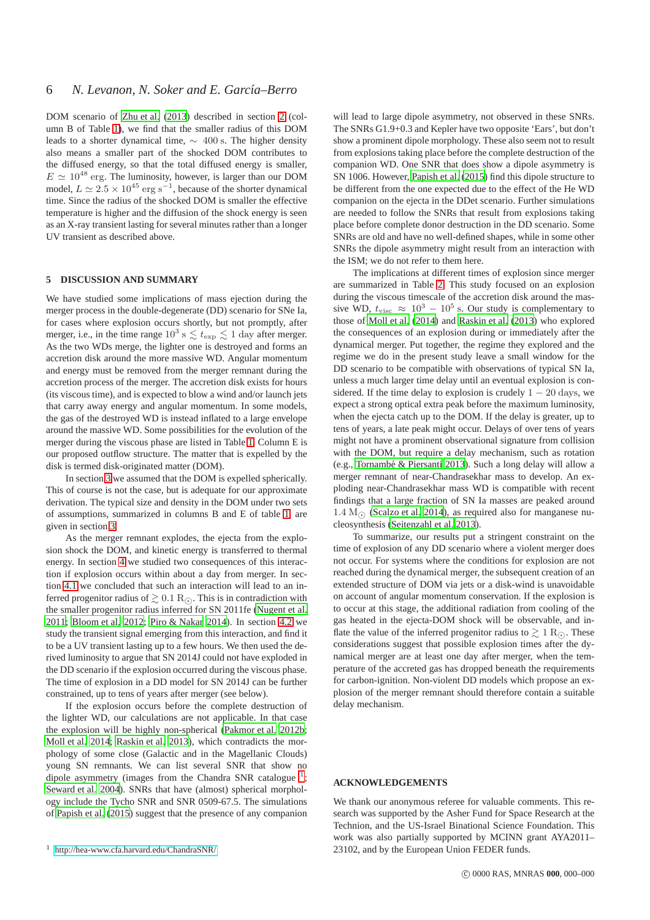DOM scenario of [Zhu et al. \(2013\)](#page-6-51) described in section [2](#page-1-0) (column B of Table [1\)](#page-2-1), we find that the smaller radius of this DOM leads to a shorter dynamical time,  $\sim$  400 s. The higher density also means a smaller part of the shocked DOM contributes to the diffused energy, so that the total diffused energy is smaller,  $E \simeq 10^{48}$  erg. The luminosity, however, is larger than our DOM model,  $L \simeq 2.5 \times 10^{45}$  erg s<sup>-1</sup>, because of the shorter dynamical time. Since the radius of the shocked DOM is smaller the effective temperature is higher and the diffusion of the shock energy is seen as an X-ray transient lasting for several minutes rather than a longer UV transient as described above.

### <span id="page-5-0"></span>**5 DISCUSSION AND SUMMARY**

We have studied some implications of mass ejection during the merger process in the double-degenerate (DD) scenario for SNe Ia, for cases where explosion occurs shortly, but not promptly, after merger, i.e., in the time range  $10^3$  s  $\leq t_{\rm exp} \leq 1$  day after merger. As the two WDs merge, the lighter one is destroyed and forms an accretion disk around the more massive WD. Angular momentum and energy must be removed from the merger remnant during the accretion process of the merger. The accretion disk exists for hours (its viscous time), and is expected to blow a wind and/or launch jets that carry away energy and angular momentum. In some models, the gas of the destroyed WD is instead inflated to a large envelope around the massive WD. Some possibilities for the evolution of the merger during the viscous phase are listed in Table [1.](#page-2-1) Column E is our proposed outflow structure. The matter that is expelled by the disk is termed disk-originated matter (DOM).

In section [3](#page-2-0) we assumed that the DOM is expelled spherically. This of course is not the case, but is adequate for our approximate derivation. The typical size and density in the DOM under two sets of assumptions, summarized in columns B and E of table [1,](#page-2-1) are given in section [3.](#page-2-0)

As the merger remnant explodes, the ejecta from the explosion shock the DOM, and kinetic energy is transferred to thermal energy. In section [4](#page-3-0) we studied two consequences of this interaction if explosion occurs within about a day from merger. In section [4.1](#page-3-2) we concluded that such an interaction will lead to an inferred progenitor radius of  $\gtrsim 0.1 \text{ R}$ . This is in contradiction with the smaller progenitor radius inferred for SN 2011fe [\(Nugent et al.](#page-6-63) [2011](#page-6-63); [Bloom et al. 2012;](#page-6-61) [Piro & Nakar 2014](#page-6-62)). In section [4.2](#page-3-3) we study the transient signal emerging from this interaction, and find it to be a UV transient lasting up to a few hours. We then used the derived luminosity to argue that SN 2014J could not have exploded in the DD scenario if the explosion occurred during the viscous phase. The time of explosion in a DD model for SN 2014J can be further constrained, up to tens of years after merger (see below).

If the explosion occurs before the complete destruction of the lighter WD, our calculations are not applicable. In that case the explosion will be highly non-spherical [\(Pakmor et al. 2012b;](#page-6-49) [Moll et al. 2014;](#page-6-54) [Raskin et al. 2013\)](#page-6-57), which contradicts the morphology of some close (Galactic and in the Magellanic Clouds) young SN remnants. We can list several SNR that show no dipole asymmetry (images from the Chandra SNR catalogue  $<sup>1</sup>$  $<sup>1</sup>$  $<sup>1</sup>$ ;</sup> [Seward et al. 2004\)](#page-6-71). SNRs that have (almost) spherical morphology include the Tycho SNR and SNR 0509-67.5. The simulations of [Papish et al. \(2015\)](#page-6-34) suggest that the presence of any companion

will lead to large dipole asymmetry, not observed in these SNRs. The SNRs G1.9+0.3 and Kepler have two opposite 'Ears', but don't show a prominent dipole morphology. These also seem not to result from explosions taking place before the complete destruction of the companion WD. One SNR that does show a dipole asymmetry is SN 1006. However, [Papish et al. \(2015](#page-6-34)) find this dipole structure to be different from the one expected due to the effect of the He WD companion on the ejecta in the DDet scenario. Further simulations are needed to follow the SNRs that result from explosions taking place before complete donor destruction in the DD scenario. Some SNRs are old and have no well-defined shapes, while in some other SNRs the dipole asymmetry might result from an interaction with the ISM; we do not refer to them here.

The implications at different times of explosion since merger are summarized in Table [2.](#page-4-2) This study focused on an explosion during the viscous timescale of the accretion disk around the massive WD,  $t_{\text{visc}} \approx 10^3 - 10^5$  s. Our study is complementary to those of [Moll et al. \(2014](#page-6-54)) and [Raskin et al.](#page-6-57) [\(2013\)](#page-6-57) who explored the consequences of an explosion during or immediately after the dynamical merger. Put together, the regime they explored and the regime we do in the present study leave a small window for the DD scenario to be compatible with observations of typical SN Ia, unless a much larger time delay until an eventual explosion is considered. If the time delay to explosion is crudely  $1 - 20$  days, we expect a strong optical extra peak before the maximum luminosity, when the ejecta catch up to the DOM. If the delay is greater, up to tens of years, a late peak might occur. Delays of over tens of years might not have a prominent observational signature from collision with the DOM, but require a delay mechanism, such as rotation (e.g., Tornambé & Piersanti 2013). Such a long delay will allow a merger remnant of near-Chandrasekhar mass to develop. An exploding near-Chandrasekhar mass WD is compatible with recent findings that a large fraction of SN Ia masses are peaked around 1.4  $M_{\odot}$  [\(Scalzo et al. 2014](#page-6-36)), as required also for manganese nucleosynthesis [\(Seitenzahl et al. 2013](#page-6-37)).

To summarize, our results put a stringent constraint on the time of explosion of any DD scenario where a violent merger does not occur. For systems where the conditions for explosion are not reached during the dynamical merger, the subsequent creation of an extended structure of DOM via jets or a disk-wind is unavoidable on account of angular momentum conservation. If the explosion is to occur at this stage, the additional radiation from cooling of the gas heated in the ejecta-DOM shock will be observable, and inflate the value of the inferred progenitor radius to  $\gtrsim 1 \text{ R}_\odot$ . These considerations suggest that possible explosion times after the dynamical merger are at least one day after merger, when the temperature of the accreted gas has dropped beneath the requirements for carbon-ignition. Non-violent DD models which propose an explosion of the merger remnant should therefore contain a suitable delay mechanism.

#### **ACKNOWLEDGEMENTS**

We thank our anonymous referee for valuable comments. This research was supported by the Asher Fund for Space Research at the Technion, and the US-Israel Binational Science Foundation. This work was also partially supported by MCINN grant AYA2011– 23102, and by the European Union FEDER funds.

<span id="page-5-1"></span><sup>1</sup> <http://hea-www.cfa.harvard.edu/ChandraSNR/>